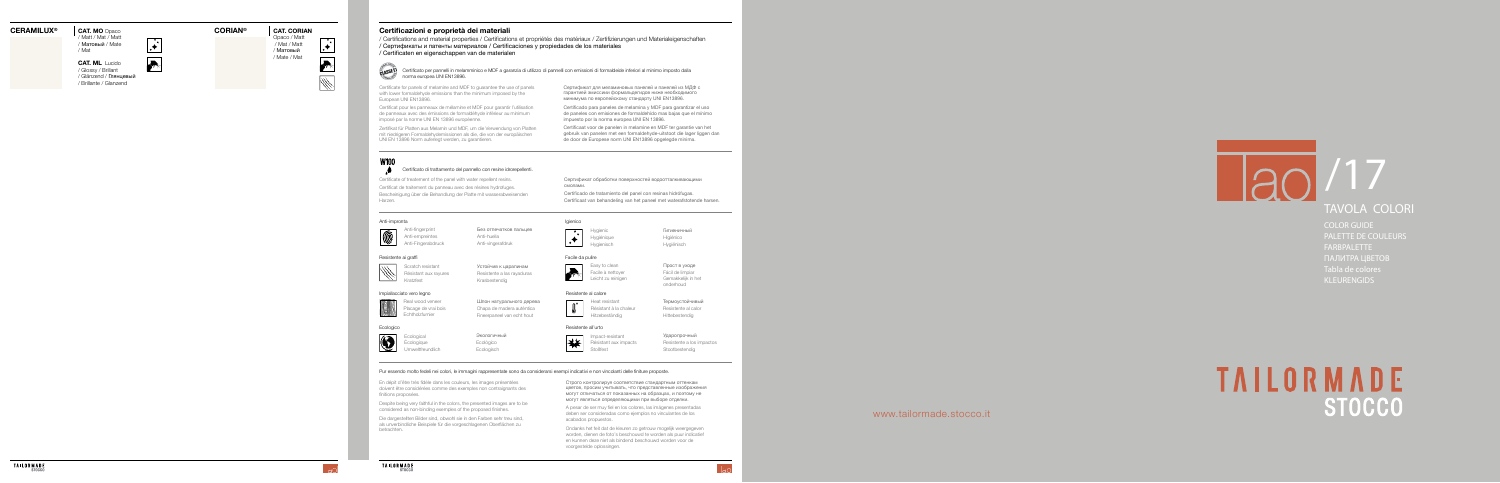

## TAVOLA COLORI

COLOR GUIDE PALETTE DE COULEURS FARBPALETTE ПАЛИТРА ЦВЕТОВ Tabla de colores KLEURENGIDS

# **TAILORMADE**

www.tailormade.stocco.it

#### **CERAMILUX**

**® CORIAN CAT. MO** Opaco **®**

Opaco / Matt / Mat / Matt / Матовый / Mate / Mat  $\overline{\phantom{0}}$ 

 $\rightarrow$ 

₩

**CAT. ML** Lucido / Glossy / Brillant<br>/ Glänzend / Глянцевый / Brillante / Glanzend

 $\cdot$ **Artist** 

Без отпечатков пальцев Anti-empreintes **Anti-huella** Anti-Fingerabdruck Anti-vingerafdruk

/ Matt / Mat / Matt / Матовый / Mate / Mat

#### **CAT. CORIAN**

Hygienic **Гигиеничный** Hygiénique Higiénico Hygienisch Hygiënisch

#### Anti-impronta



Resistente ai graffi

Kratzfest Krasbestendig

Scratch resistant Устойчив к царапинам<br>Résistant aux rayures Resistente a las rayaduras Resistente a las rayaduras

> Ecological Экологичный Écologique Ecológico Umweltfreundlich Ecologisch

Heat resistant **TepMoycтойчивый** Résistant à la chaleur Resistente al calor Hitzebeständig Hittebestendig

Impact-resistant Ударопрочный Résistant aux impacts<br>
Resistente a los impactos Stoßfest Stootbestendig

#### Igienico



Facile da pulire



Easy to clean Прост в уходе Facile à nettoyer Fácil de limpiar Leicht zu reinigen Gemakkelijk in het

onderhoud

#### Impiallacciato vero legno



**MANIMITER** Real wood veneer **EXAMINAL EXAMINAL EXAMINAL REAL PROPERTY** Placage de vrai bois Chapa de madera auténtica Echtholzfurnier Fineerpaneel van echt hout

Ecologico





#### Resistente al calore

#### Resistente all'urto



### **Certificazioni e proprietà dei materiali**

/ Certifications and material properties / Certifications et propriétés des matériaux / Zertifizierungen und Materialeigenschaften / Сертификаты и патенты материалов / Certificaciones y propiedades de los materiales / Certificaten en eigenschappen van de materialen



Certificato per pannelli in melamminico e MDF a garanzia di utilizzo di pannelli con emissioni di formaldeide inferiori al minimo imposto dalla norma europea UNI EN13896.

#### Certificato di trattamento del pannello con resine idrorepellenti.

Certificate for panels of melamine and MDF to guarantee the use of panels with lower formaldehyde emissions than the minimum imposed by the European UNI EN13896.

Certificat pour les panneaux de mélamine et MDF pour garantir l'utilisation de panneaux avec des émissions de formaldéhyde inférieur au minimum imposé par la norme UNI EN 13896 européenne.

Zertifikat für Platten aus Melamin und MDF, um die Verwendung von Platten mit niedrigeren Formaldehydemissionen als die, die von der europäischen UNI EN 13896 Norm auferlegt werden, zu garantieren.

Certificate of treatement of the panel with water repellent resins. Certificat de traitement du panneau avec des résines hydrofuges. Bescheinigung über die Behandlung der Platte mit wasserabweisenden Harzen.

Сертификат для меламиновых панелей и панелей из МДФ с гарантией эмиссиии формальдегидов ниже необходимого минимума по европейскому стандарту UNI EN13896.

Сертификат обработки поверхностей водоотталкивающими смолами.

Certificado para paneles de melamina y MDF para garantizar el uso de paneles con emisiones de formaldehído mas bajas que el mínimo impuesto por la norma europea UNI EN 13896.

Certificaat voor de panelen in melamine en MDF ter garantie van het gebruik van panelen met een formaldehyde-uitstoot die lager liggen dan de door de Europese norm UNI EN13896 opgelegde minima.

Certificado de tratamiento del panel con resinas hidrófugas. Certificaat van behandeling van het paneel met waterafstotende harsen.

#### Pur essendo molto fedeli nei colori, le immagini rappresentate sono da considerarsi esempi indicativi e non vincolanti delle finiture proposte.

Despite being very faithful in the colors, the presented images are to be considered as non-binding exemples of the proposed finishes.

En dépit d'être très fidèle dans les couleurs, les images présentées doivent être considérées comme des exemples non contraignants des finitions proposées.

> A pesar de ser muy fiel en los colores, las imágenes presentadas deben ser consideradas como ejemplos no vinculantes de los acabados propuestos.

Строго контролируя соответствие стандартным оттенкам цветов, просим учитывать, что представленные изображения могут отличаться от показанных на образцах, и поэтому не могут являться определяющими при выборе отделки.

Ondanks het feit dat de kleuren zo getrouw mogelijk weergegeven worden, dienen de foto's beschouwd te worden als puur indicatief en kunnen deze niet als bindend beschouwd worden voor de voorgestelde oplossingen.

Die dargestellten Bilder sind, obwohl sie in den Farben sehr treu sind, als unverbindliche Beispiele für die vorgeschlagenen Oberflächen zu betrachten.

 $\overline{\phantom{a}}$